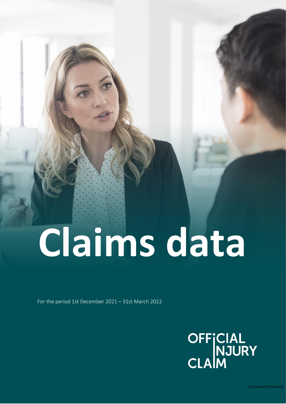# **Claims data**

For the period 1st December 2021 – 31st March 2022

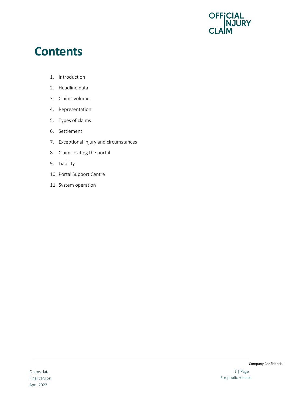

#### **Contents**

- 1. Introduction
- 2. Headline data
- 3. Claims volume
- 4. Representation
- 5. Types of claims
- 6. Settlement
- 7. Exceptional injury and circumstances
- 8. Claims exiting the portal
- 9. Liability
- 10. Portal Support Centre
- 11. System operation

Company Confidential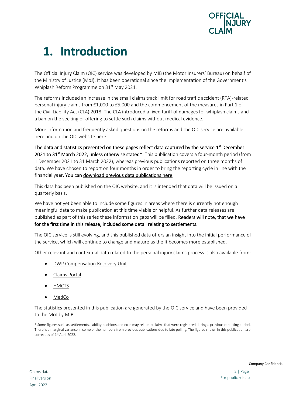

# **1. Introduction**

The Official Injury Claim (OIC) service was developed by MIB (the Motor Insurers' Bureau) on behalf of the Ministry of Justice (MoJ). It has been operational since the implementation of the Government's Whiplash Reform Programme on 31<sup>st</sup> May 2021.

The reforms included an increase in the small claims track limit for road traffic accident (RTA)-related personal injury claims from £1,000 to £5,000 and the commencement of the measures in Part 1 of the Civil Liability Act (CLA) 2018. The CLA introduced a fixed tariff of damages for whiplash claims and a ban on the seeking or offering to settle such claims without medical evidence.

More information and frequently asked questions on the reforms and the OIC service are available [here](http://www.gov.uk/government/publications/whiplash-reform-programme-information-and-faq) and on the OIC websit[e here.](https://www.officialinjuryclaim.org.uk/make-a-claim/)

The data and statistics presented on these pages reflect data captured by the service 1<sup>st</sup> December 2021 to 31<sup>st</sup> March 2022, unless otherwise stated\*. This publication covers a four-month period (from 1 December 2021 to 31 March 2022), whereas previous publications reported on three months of data. We have chosen to report on four months in order to bring the reporting cycle in line with the financial year. You can [download previous data publications here.](https://www.officialinjuryclaim.org.uk/resources-for-professionals/data/)

This data has been published on the OIC website, and it is intended that data will be issued on a quarterly basis.

We have not yet been able to include some figures in areas where there is currently not enough meaningful data to make publication at this time viable or helpful. As further data releases are published as part of this series these information gaps will be filled. Readers will note, that we have for the first time in this release, included some detail relating to settlements.

The OIC service is still evolving, and this published data offers an insight into the initial performance of the service, which will continue to change and mature as the it becomes more established.

Other relevant and contextual data related to the personal injury claims process is also available from:

- [DWP Compensation Recovery Unit](https://www.gov.uk/government/publications/compensation-recovery-unit-performance-data/compensation-recovery-unit-performance-data)
- [Claims Portal](https://www.claimsportal.org.uk/about/executive-dashboard/)
- [HMCTS](https://www.gov.uk/government/collections/civil-justice-statistics-quarterly)
- [MedCo](https://www.medco.org.uk/)

The statistics presented in this publication are generated by the OIC service and have been provided to the MoJ by MIB.

\* Some figures such as settlements, liability decisions and exits may relate to claims that were registered during a previous reporting period. There is a marginal variance in some of the numbers from previous publications due to late polling. The figures shown in this publication are correct as of 1<sup>st</sup> April 2022.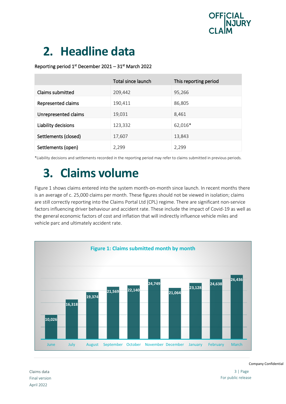

# **2. Headline data**

#### Reporting period  $1<sup>st</sup>$  December 2021 – 31 $<sup>st</sup>$  March 2022</sup>

|                      | Total since launch | This reporting period |
|----------------------|--------------------|-----------------------|
| Claims submitted     | 209,442            | 95,266                |
| Represented claims   | 190,411            | 86,805                |
| Unrepresented claims | 19,031             | 8,461                 |
| Liability decisions  | 123,332            | 62,016*               |
| Settlements (closed) | 17,607             | 13,843                |
| Settlements (open)   | 2,299              | 2,299                 |

\*Liability decisions and settlements recorded in the reporting period may refer to claims submitted in previous periods.

### **3. Claims volume**

Figure 1 shows claims entered into the system month-on-month since launch. In recent months there is an average of c. 25,000 claims per month. These figures should not be viewed in isolation; claims are still correctly reporting into the Claims Portal Ltd (CPL) regime. There are significant non-service factors influencing driver behaviour and accident rate. These include the impact of Covid-19 as well as the general economic factors of cost and inflation that will indirectly influence vehicle miles and vehicle parc and ultimately accident rate.



3 | Page For public release

Company Confidential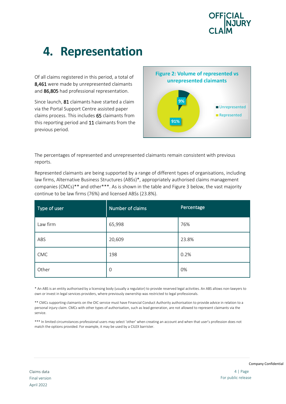

## **4. Representation**

Of all claims registered in this period, a total of 8,461 were made by unrepresented claimants and 86,805 had professional representation.

Since launch, 81 claimants have started a claim via the Portal Support Centre assisted paper claims process. This includes 65 claimants from this reporting period and 11 claimants from the previous period.



The percentages of represented and unrepresented claimants remain consistent with previous reports.

Represented claimants are being supported by a range of different types of organisations, including law firms, Alternative Business Structures (ABSs)\*, appropriately authorised claims management companies (CMCs)\*\* and other\*\*\*. As is shown in the table and Figure 3 below, the vast majority continue to be law firms (76%) and licensed ABSs (23.8%).

| Type of user | Number of claims | <b>Percentage</b> |
|--------------|------------------|-------------------|
| Law firm     | 65,998           | 76%               |
| ABS          | 20,609           | 23.8%             |
| CMC          | 198              | 0.2%              |
| Other        | $\mathcal{O}$    | 0%                |

\* An ABS is an entity authorised by a licensing body (usually a regulator) to provide reserved legal activities. An ABS allows non-lawyers to own or invest in legal services providers, where previously ownership was restricted to legal professionals.

\*\* CMCs supporting claimants on the OIC service must have Financial Conduct Authority authorisation to provide advice in relation to a personal injury claim. CMCs with other types of authorisation, such as lead generation, are not allowed to represent claimants via the service.

\*\*\* In limited circumstances professional users may select 'other' when creating an account and when that user's profession does not match the options provided. For example, it may be used by a CILEX barrister.

Company Confidential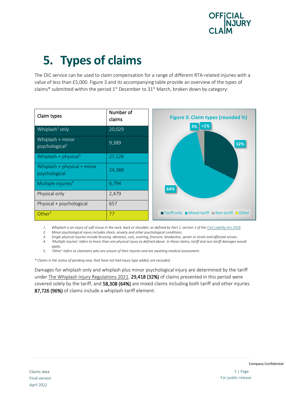

# **5. Types of claims**

The OIC service can be used to claim compensation for a range of different RTA-related injuries with a value of less than £5,000. Figure 3 and its accompanying table provide an overview of the types of claims\* submitted within the period  $1<sup>st</sup>$  December to 31 $<sup>st</sup>$  March, broken down by category:</sup>



*1. Whiplash is an injury of soft tissue in the neck, back or shoulder, as defined by Part 1, section 1 of th[e Civil Liability Act 2018.](https://www.legislation.gov.uk/ukpga/2018/29/part/1)*

*2. Minor psychological injury includes shock, anxiety and other psychological conditions.*

*3. Single physical injuries include bruising, abrasion, cuts, scarring, fracture, headaches, sprain or strain and affected senses. 4. 'Multiple injuries' refers to more than one physical injury as defined above. In these claims, tariff and non-tariff damages would* 

*apply. 5. 'Other' refers to claimants who are unsure of their injuries and are awaiting medical assessment.*

*\* Claims in the status of pending new, that have not had injury type added, are excluded.*

Damages for whiplash only and whiplash plus minor psychological injury are determined by the tariff under The Whiplash [Injury Regulations 2021.](https://www.legislation.gov.uk/ukdsi/2021/9780348220612/pdfs/ukdsi_9780348220612_en.pdf) 29,418 (32%) of claims presented in this period were covered solely by the tariff, and 58,308 (64%) are mixed claims including both tariff and other injuries. 87,726 (96%) of claims include a whiplash-tariff element.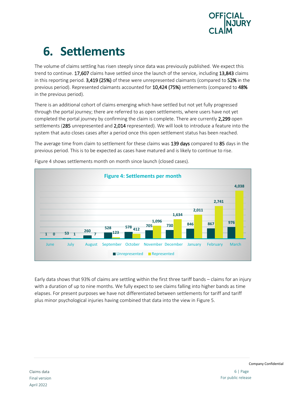

# **6. Settlements**

The volume of claims settling has risen steeply since data was previously published. We expect this trend to continue. 17,607 claims have settled since the launch of the service, including 13,843 claims in this reporting period. 3,419 (25%) of these were unrepresented claimants (compared to 52% in the previous period). Represented claimants accounted for 10,424 (75%) settlements (compared to 48% in the previous period).

There is an additional cohort of claims emerging which have settled but not yet fully progressed through the portal journey; there are referred to as open settlements, where users have not yet completed the portal journey by confirming the claim is complete. There are currently 2,299 open settlements (285 unrepresented and 2,014 represented). We will look to introduce a feature into the system that auto closes cases after a period once this open settlement status has been reached.

The average time from claim to settlement for these claims was 139 days compared to 85 days in the previous period. This is to be expected as cases have matured and is likely to continue to rise.



Figure 4 shows settlements month on month since launch (closed cases).

Early data shows that 93% of claims are settling within the first three tariff bands – claims for an injury with a duration of up to nine months. We fully expect to see claims falling into higher bands as time elapses. For present purposes we have not differentiated between settlements for tariff and tariff plus minor psychological injuries having combined that data into the view in Figure 5.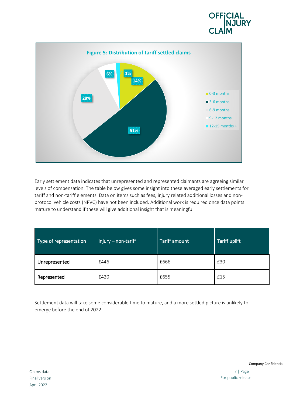



Early settlement data indicates that unrepresented and represented claimants are agreeing similar levels of compensation. The table below gives some insight into these averaged early settlements for tariff and non-tariff elements. Data on items such as fees, injury related additional losses and nonprotocol vehicle costs (NPVC) have not been included. Additional work is required once data points mature to understand if these will give additional insight that is meaningful.

| Type of representation | $Injury - non-tariff$ | <b>Tariff amount</b> | <b>Tariff uplift</b> |
|------------------------|-----------------------|----------------------|----------------------|
| Unrepresented          | £446                  | £666                 | £30                  |
| Represented            | £420                  | £655                 | £15                  |

Settlement data will take some considerable time to mature, and a more settled picture is unlikely to emerge before the end of 2022.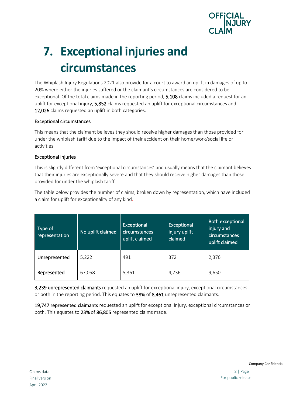

# **7. Exceptional injuries and circumstances**

The Whiplash Injury Regulations 2021 also provide for a court to award an uplift in damages of up to 20% where either the injuries suffered or the claimant's circumstances are considered to be exceptional. Of the total claims made in the reporting period, **5,108** claims included a request for an uplift for exceptional injury, 5,852 claims requested an uplift for exceptional circumstances and 12,026 claims requested an uplift in both categories.

#### Exceptional circumstances

This means that the claimant believes they should receive higher damages than those provided for under the whiplash tariff due to the impact of their accident on their home/work/social life or activities

#### Exceptional injuries

This is slightly different from 'exceptional circumstances' and usually means that the claimant believes that their injuries are exceptionally severe and that they should receive higher damages than those provided for under the whiplash tariff.

The table below provides the number of claims, broken down by representation, which have included a claim for uplift for exceptionality of any kind.

| Type of<br>representation | No uplift claimed | <b>Exceptional</b><br><b>circumstances</b><br>uplift claimed | Exceptional<br>injury uplift<br>claimed | <b>Both exceptional</b><br>injury and<br>circumstances<br>uplift claimed |
|---------------------------|-------------------|--------------------------------------------------------------|-----------------------------------------|--------------------------------------------------------------------------|
| Unrepresented             | 5,222             | 491                                                          | 372                                     | 2,376                                                                    |
| Represented               | 67,058            | 5,361                                                        | 4,736                                   | 9,650                                                                    |

3,239 unrepresented claimants requested an uplift for exceptional injury, exceptional circumstances or both in the reporting period. This equates to 38% of 8,461 unrepresented claimants.

19,747 represented claimants requested an uplift for exceptional injury, exceptional circumstances or both. This equates to 23% of 86,805 represented claims made.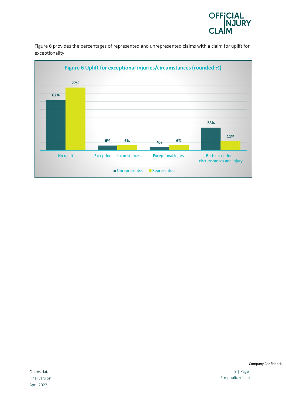

Figure 6 provides the percentages of represented and unrepresented claims with a claim for uplift for exceptionality.

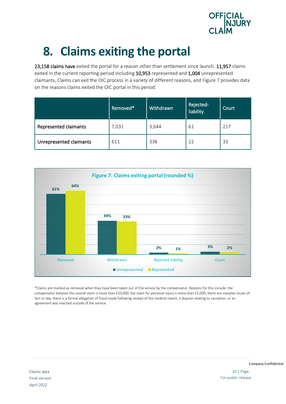

# **8. Claims exiting the portal**

23,158 claims have exited the portal for a reason other than settlement since launch. 11,957 claims exited in the current reporting period including 10,953 represented and 1,004 unrepresented claimants. Claims can exit the OIC process in a variety of different reasons, and Figure 7 provides data on the reasons claims exited the OIC portal in this period:

|                         | Removed* | Withdrawn | Rejected-<br>liability | Court |
|-------------------------|----------|-----------|------------------------|-------|
| Represented claimants   | 7,031    | 3,644     | 61                     | 217   |
| Unrepresented claimants | 611      | 338       | 22                     | 33    |



\*Claims are marked as removed when they have been taken out of the service by the compensator. Reasons for this include: the compensator believes the overall claim is more than £10,000, the claim for personal injury is more than £5,000, there are complex issues of fact or law, there is a formal allegation of fraud made following receipt of the medical report, a dispute relating to causation, or an agreement was reached outside of the service.

10 | Page For public release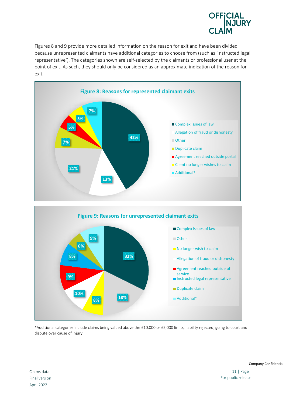

Figures 8 and 9 provide more detailed information on the reason for exit and have been divided because unrepresented claimants have additional categories to choose from (such as 'Instructed legal representative'). The categories shown are self-selected by the claimants or professional user at the point of exit. As such, they should only be considered as an approximate indication of the reason for exit.



\*Additional categories include claims being valued above the £10,000 or £5,000 limits, liability rejected, going to court and dispute over cause of injury.

Claims data Final version April 2022

Company Confidential

11 | Page For public release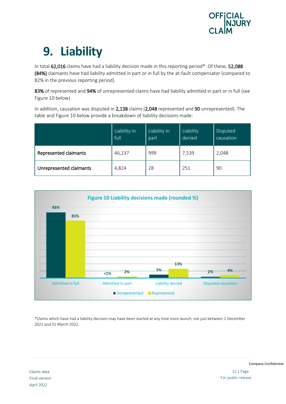

# **9. Liability**

In total 62,016 claims have had a liability decision made in this reporting period\*. Of these, 52,088 (84%) claimants have had liability admitted in part or in full by the at-fault compensator (compared to 82% in the previous reporting period).

83% of represented and 94% of unrepresented claims have had liability admitted in part or in full (see Figure 10 below).

In addition, causation was disputed in 2,138 claims (2,048 represented and 90 unrepresented). The table and Figure 10 below provide a breakdown of liability decisions made:

|                         | Liability in<br>full | Liability in<br>part | Liability<br>denied | Disputed<br>causation |
|-------------------------|----------------------|----------------------|---------------------|-----------------------|
| Represented claimants   | 46,237               | 999                  | 7,539               | 2,048                 |
| Unrepresented claimants | 4,824                | 28                   | 251                 | 90                    |



\*Claims which have had a liability decision may have been started at any time since launch, not just between 1 December 2021 and 31 March 2022.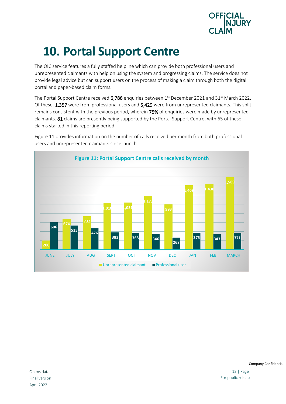

# **10. Portal Support Centre**

The OIC service features a fully staffed helpline which can provide both professional users and unrepresented claimants with help on using the system and progressing claims. The service does not provide legal advice but can support users on the process of making a claim through both the digital portal and paper-based claim forms.

The Portal Support Centre received  $6,786$  enquiries between  $1<sup>st</sup>$  December 2021 and 31<sup>st</sup> March 2022. Of these, 1,357 were from professional users and 5,429 were from unrepresented claimants. This split remains consistent with the previous period, wherein 75% of enquiries were made by unrepresented claimants. 81 claims are presently being supported by the Portal Support Centre, with 65 of these claims started in this reporting period.



Figure 11 provides information on the number of calls received per month from both professional users and unrepresented claimants since launch.